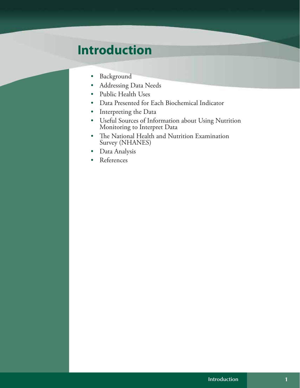# **Introduction**

- • Background
- Addressing Data Needs
- • Public Health Uses
- • Data Presented for Each Biochemical Indicator
- • Interpreting the Data
- • Useful Sources of Information about Using Nutrition Monitoring to Interpret Data
- • The National Health and Nutrition Examination Survey (NHANES)
- • Data Analysis
- • References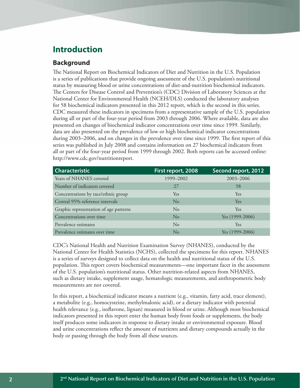## **Introduction**

#### **Background**

The National Report on Biochemical Indicators of Diet and Nutrition in the U.S. Population is a series of publications that provide ongoing assessment of the U.S. population's nutritional status by measuring blood or urine concentrations of diet-and-nutrition biochemical indicators. The Centers for Disease Control and Prevention's (CDC) Division of Laboratory Sciences at the National Center for Environmental Health (NCEH/DLS) conducted the laboratory analyses for 58 biochemical indicators presented in this 2012 report, which is the second in this series. CDC measured these indicators in specimens from a representative sample of the U.S. population during all or part of the four-year period from 2003 through 2006. Where available, data are also presented on changes of biochemical indicator concentrations over time since 1999. Similarly, data are also presented on the prevalence of low or high biochemical indicator concentrations during 2003–2006, and on changes in the prevalence over time since 1999. The first report of this series was published in July 2008 and contains information on 27 biochemical indicators from all or part of the four-year period from 1999 through 2002. Both reports can be accessed online: <http://www.cdc.gov/nutritionreport>.

| <b>Characteristic</b>                  | First report, 2008 | Second report, 2012 |
|----------------------------------------|--------------------|---------------------|
| Years of NHANES covered                | 1999–2002          | 2003-2006           |
| Number of indicators covered           | 27                 | 58                  |
| Concentrations by race/ethnic group    | Yes.               | Yes.                |
| Central 95% reference intervals        | $\rm No$           | <b>Yes</b>          |
| Graphic representation of age patterns | $\rm No$           | Yes.                |
| Concentrations over time               | $\rm No$           | Yes (1999-2006)     |
| Prevalence estimates                   | No                 | Yes                 |
| Prevalence estimates over time         | No                 | Yes $(1999-2006)$   |

CDC's National Health and Nutrition Examination Survey (NHANES), conducted by the National Center for Health Statistics (NCHS), collected the specimens for this report. NHANES is a series of surveys designed to collect data on the health and nutritional status of the U.S. population. This report covers biochemical measurements—one important facet in the assessment of the U.S. population's nutritional status. Other nutrition-related aspects from NHANES, such as dietary intake, supplement usage, hematologic measurements, and anthropometric body measurements are not covered.

In this report, a biochemical indicator means a nutrient (e.g., vitamin, fatty acid, trace element), a metabolite (e.g., homocysteine, methylmalonic acid), or a dietary indicator with potential health relevance (e.g., isoflavone, lignan) measured in blood or urine. Although most biochemical indicators presented in this report enter the human body from foods or supplements, the body itself produces some indicators in response to dietary intake or environmental exposure. Blood and urine concentrations reflect the amount of nutrients and dietary compounds actually in the body or passing through the body from all these sources.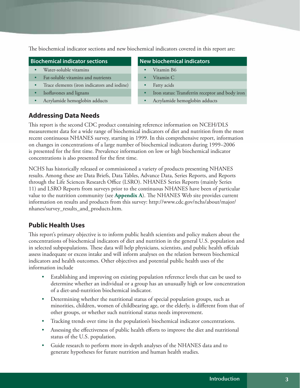The biochemical indicator sections and new biochemical indicators covered in this report are:

#### **Biochemical indicator sections New biochemical indicators**

- • Water-soluble vitamins • Vitamin B6
- Fat-soluble vitamins and nutrients Vitamin C
- Trace elements (iron indicators and iodine) Fatty acids
- 
- 

- 
- 
- 
- Isoflavones and lignans **Figure 1 •** Iron status: Transferrin receptor and body iron
- • Acrylamide hemoglobin adducts • Acrylamide hemoglobin adducts

### **Addressing Data Needs**

This report is the second CDC product containing reference information on NCEH/DLS measurement data for a wide range of biochemical indicators of diet and nutrition from the most recent continuous NHANES survey, starting in 1999. In this comprehensive report, information on changes in concentrations of a large number of biochemical indicators during 1999–2006 is presented for the first time. Prevalence information on low or high biochemical indicator concentrations is also presented for the first time.

NCHS has historically released or commissioned a variety of products presenting NHANES results. Among these are Data Briefs, Data Tables, Advance Data, Series Reports, and Reports through the Life Sciences Research Office (LSRO). NHANES Series Reports (mainly Series 11) and LSRO Reports from surveys prior to the continuous NHANES have been of particular value to the nutrition community (see **Appendix A**). The NHANES Web site provides current information on results and products from this survey: [http://www.cdc.gov/nchs/about/major/](http://www.cdc.gov/nchs/about/major/nhanes/survey_results_and_products.htm) [nhanes/survey\\_results\\_and\\_products.htm](http://www.cdc.gov/nchs/about/major/nhanes/survey_results_and_products.htm).

#### **Public Health Uses**

This report's primary objective is to inform public health scientists and policy makers about the concentrations of biochemical indicators of diet and nutrition in the general U.S. population and in selected subpopulations. These data will help physicians, scientists, and public health offcials assess inadequate or excess intake and will inform analyses on the relation between biochemical indicators and health outcomes. Other objectives and potential public health uses of the information include

- Establishing and improving on existing population reference levels that can be used to determine whether an individual or a group has an unusually high or low concentration of a diet-and-nutrition biochemical indicator.
- Determining whether the nutritional status of special population groups, such as minorities, children, women of childbearing age, or the elderly, is different from that of other groups, or whether such nutritional status needs improvement.
- Tracking trends over time in the population's biochemical indicator concentrations.
- Assessing the effectiveness of public health efforts to improve the diet and nutritional status of the U.S. population.
- Guide research to perform more in-depth analyses of the NHANES data and to generate hypotheses for future nutrition and human health studies.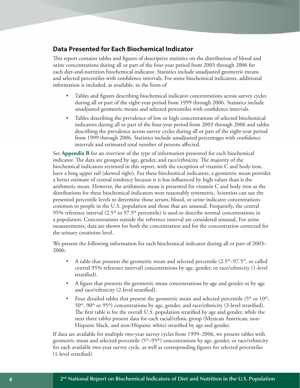#### **Data Presented for Each Biochemical Indicator**

This report contains tables and figures of descriptive statistics on the distribution of blood and urine concentrations during all or part of the four-year period from 2003 through 2006 for each diet-and-nutrition biochemical indicator. Statistics include unadjusted geometric means and selected percentiles with confidence intervals. For some biochemical indicators, additional information is included, as available, in the form of

- Tables and figures describing biochemical indicator concentrations across survey cycles during all or part of the eight-year period from 1999 through 2006. Statistics include unadjusted geometric means and selected percentiles with confidence intervals.
- Tables describing the prevalence of low or high concentrations of selected biochemical indicators during all or part of the four-year period from 2003 through 2006 and tables describing the prevalence across survey cycles during all or part of the eight-year period from 1999 through 2006. Statistics include unadjusted percentages with confidence intervals and estimated total number of persons affected.

See **Appendix B** for an overview of the type of information presented for each biochemical indicator. The data are grouped by age, gender, and race/ethnicity. The majority of the biochemical indicators reviewed in this report, with the exception of vitamin C and body iron, have a long upper tail (skewed right). For these biochemical indicators, a geometric mean provides a better estimate of central tendency because it is less influenced by high values than is the arithmetic mean. However, the arithmetic mean is presented for vitamin C and body iron as the distributions for these biochemical indicators were reasonably symmetric. Scientists can use the presented percentile levels to determine those serum, blood, or urine indicator concentrations common to people in the U.S. population and those that are unusual. Frequently, the central 95% reference interval  $(2.5<sup>th</sup>$  to 97.5<sup>th</sup> percentile) is used to describe normal concentrations in a population. Concentrations outside the reference interval are considered unusual. For urine measurements, data are shown for both the concentration and for the concentration corrected for the urinary creatinine level.

We present the following information for each biochemical indicator during all or part of 2003– 2006:

- A table that presents the geometric mean and selected percentile  $(2.5<sup>th</sup>-97.5<sup>th</sup>)$ , so called central 95% reference interval) concentrations by age, gender, or race/ethnicity (1-level stratified).
- A figure that presents the geometric mean concentrations by age and gender or by age and race/ethnicity (2-level stratified).
- Four detailed tables that present the geometric mean and selected percentile ( $5<sup>th</sup>$  or  $10<sup>th</sup>$ ,  $50<sup>th</sup>$ ,  $90<sup>th</sup>$  or  $95<sup>th</sup>$ ) concentrations by age, gender, and race/ethnicity (3-level stratified). The first table is for the overall U.S. population stratified by age and gender, while the next three tables present data for each racial/ethnic group (Mexican American, non-Hispanic black, and non-Hispanic white) stratified by age and gender.

If data are available for multiple two-year survey cycles from 1999–2006, we present tables with geometric mean and selected percentile  $(5<sup>th</sup>-95<sup>th</sup>)$  concentrations by age, gender, or race/ethnicity for each available two-year survey cycle, as well as corresponding figures for selected percentiles (1-level stratified).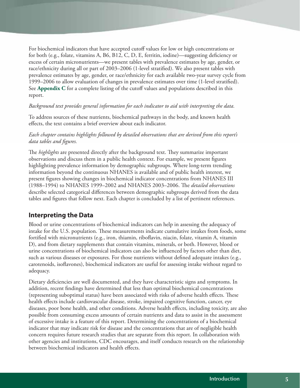For biochemical indicators that have accepted cutoff values for low or high concentrations or for both (e.g., folate, vitamins A, B6, B12, C, D, E, ferritin, iodine)—suggesting deficiency or excess of certain micronutrients—we present tables with prevalence estimates by age, gender, or race/ethnicity during all or part of 2003–2006 (1-level stratified). We also present tables with prevalence estimates by age, gender, or race/ethnicity for each available two-year survey cycle from 1999–2006 to allow evaluation of changes in prevalence estimates over time (1-level stratified). See **Appendix C** for a complete listing of the cutoff values and populations described in this report.

#### *Background text provides general information for each indicator to aid with interpreting the data.*

To address sources of these nutrients, biochemical pathways in the body, and known health effects, the text contains a brief overview about each indicator.

#### *Each chapter contains highlights followed by detailed observations that are derived from this report's data tables and figures.*

The *highlights* are presented directly after the background text. They summarize important observations and discuss them in a public health context. For example, we present figures highlighting prevalence information by demographic subgroups. Where long-term trending information beyond the continuous NHANES is available and of public health interest, we present figures showing changes in biochemical indicator concentrations from NHANES III (1988–1994) to NHANES 1999–2002 and NHANES 2003–2006. The *detailed observations* describe selected categorical differences between demographic subgroups derived from the data tables and figures that follow next. Each chapter is concluded by a list of pertinent references.

#### **Interpreting the Data**

Blood or urine concentrations of biochemical indicators can help in assessing the adequacy of intake for the U.S. population. These measurements indicate cumulative intakes from foods, some fortified with micronutrients (e.g., iron, thiamin, riboflavin, niacin, folate, vitamin A, vitamin D), and from dietary supplements that contain vitamins, minerals, or both. However, blood or urine concentrations of biochemical indicators can also be influenced by factors other than diet, such as various diseases or exposures. For those nutrients without defined adequate intakes (e.g., carotenoids, isoflavones), biochemical indicators are useful for assessing intake without regard to adequacy.

Dietary deficiencies are well documented, and they have characteristic signs and symptoms. In addition, recent findings have determined that less than optimal biochemical concentrations (representing suboptimal status) have been associated with risks of adverse health effects. These health effects include cardiovascular disease, stroke, impaired cognitive function, cancer, eye diseases, poor bone health, and other conditions. Adverse health effects, including toxicity, are also possible from consuming excess amounts of certain nutrients and data to assist in the assessment of excessive intake is a feature of this report. Determining the concentrations of a biochemical indicator that may indicate risk for disease and the concentrations that are of negligible health concern requires future research studies that are separate from this report. In collaboration with other agencies and institutions, CDC encourages, and itself conducts research on the relationship between biochemical indicators and health effects.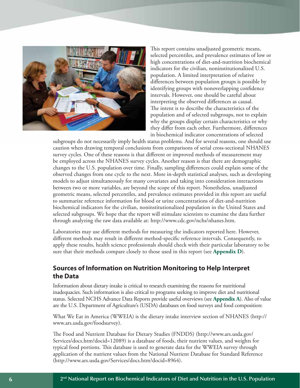

This report contains unadjusted geometric means, selected percentiles, and prevalence estimates of low or high concentrations of diet-and-nutrition biochemical indicators for the civilian, noninstitutionalized U.S. population. A limited interpretation of relative differences between population groups is possible by identifying groups with nonoverlapping confidence intervals. However, one should be careful about interpreting the observed differences as causal. The intent is to describe the characteristics of the population and of selected subgroups, not to explain why the groups display certain characteristics or why they differ from each other. Furthermore, differences in biochemical indicator concentrations of selected

subgroups do not necessarily imply health status problems. And for several reasons, one should use caution when drawing temporal conclusions from comparisons of serial cross-sectional NHANES survey cycles. One of these reasons is that different or improved methods of measurement may be employed across the NHANES survey cycles. Another reason is that there are demographic changes to the U.S. population over time. Finally, sampling differences could explain some of the observed changes from one cycle to the next. More in-depth statistical analyses, such as developing models to adjust simultaneously for many covariates and taking into consideration interactions between two or more variables, are beyond the scope of this report. Nonetheless, unadjusted geometric means, selected percentiles, and prevalence estimates provided in this report are useful to summarize reference information for blood or urine concentrations of diet-and-nutrition biochemical indicators for the civilian, noninstitutionalized population in the United States and selected subgroups. We hope that the report will stimulate scientists to examine the data further through analyzing the raw data available at:<http://www.cdc.gov/nchs/nhanes.htm>.

Laboratories may use different methods for measuring the indicators reported here. However, different methods may result in different method-specific reference intervals. Consequently, to apply these results, health science professionals should check with their particular laboratory to be sure that their methods compare closely to those used in this report (see **Appendix D**).

### **Sources of Information on Nutrition Monitoring to Help Interpret the Data**

Information about dietary intake is critical to research examining the reasons for nutritional inadequacies. Such information is also critical to programs seeking to improve diet and nutritional status. Selected NCHS Advance Data Reports provide useful overviews (see **Appendix A**). Also of value are the U.S. Department of Agriculture's (USDA) databases on food surveys and food composition:

What We Eat in America (WWEIA) is the dietary intake interview section of NHANES ([http://](http://www.ars.usda.gov/foodsurvey) [www.ars.usda.gov/foodsurvey](http://www.ars.usda.gov/foodsurvey)).

The Food and Nutrient Database for Dietary Studies (FNDDS) ([http://www.ars.usda.gov/](http://www.ars.usda.gov/Services/docs.htm?docid=12089) [Services/docs.htm?docid=12089\)](http://www.ars.usda.gov/Services/docs.htm?docid=12089) is a database of foods, their nutrient values, and weights for typical food portions. This database is used to generate data for the WWEIA survey through application of the nutrient values from the National Nutrient Database for Standard Reference (<http://www.ars.usda.gov/Services/docs.htm?docid=8964>).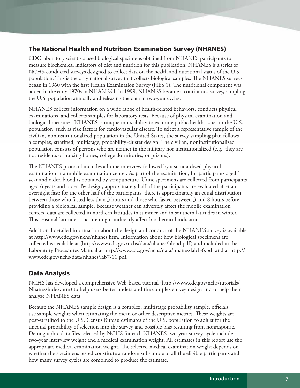### **The National Health and Nutrition Examination Survey (NHANES)**

CDC laboratory scientists used biological specimens obtained from NHANES participants to measure biochemical indicators of diet and nutrition for this publication. NHANES is a series of NCHS-conducted surveys designed to collect data on the health and nutritional status of the U.S. population. This is the only national survey that collects biological samples. The NHANES surveys began in 1960 with the first Health Examination Survey (HES 1). The nutritional component was added in the early 1970s in NHANES I. In 1999, NHANES became a continuous survey, sampling the U.S. population annually and releasing the data in two-year cycles.

NHANES collects information on a wide range of health-related behaviors, conducts physical examinations, and collects samples for laboratory tests. Because of physical examination and biological measures, NHANES is unique in its ability to examine public health issues in the U.S. population, such as risk factors for cardiovascular disease. To select a representative sample of the civilian, noninstitutionalized population in the United States, the survey sampling plan follows a complex, stratified, multistage, probability-cluster design. The civilian, noninstitutionalized population consists of persons who are neither in the military nor institutionalized (e.g., they are not residents of nursing homes, college dormitories, or prisons).

The NHANES protocol includes a home interview followed by a standardized physical examination at a mobile examination center. As part of the examination, for participants aged 1 year and older, blood is obtained by venipuncture. Urine specimens are collected from participants aged 6 years and older. By design, approximately half of the participants are evaluated after an overnight fast; for the other half of the participants, there is approximately an equal distribution between those who fasted less than 3 hours and those who fasted between 3 and 8 hours before providing a biological sample. Because weather can adversely affect the mobile examination centers, data are collected in northern latitudes in summer and in southern latitudes in winter. This seasonal-latitude structure might indirectly affect biochemical indicators.

Additional detailed information about the design and conduct of the NHANES survey is available at [http://www.cdc.gov/nchs/nhanes.htm.](http://www.cdc.gov/nchs/nhanes.htm) Information about how biological specimens are collected is available at (<http://www.cdc.gov/nchs/data/nhanes/blood.pdf>) and included in the Laboratory Procedures Manual at<http://www.cdc.gov/nchs/data/nhanes/lab1-6.pdf> and at [http://](http://www.cdc.gov/nchs/data/nhanes/lab7-11.pdf) [www.cdc.gov/nchs/data/nhanes/lab7-11.pdf.](http://www.cdc.gov/nchs/data/nhanes/lab7-11.pdf)

### **Data Analysis**

NCHS has developed a comprehensive Web-based tutorial ([http://www.cdc.gov/nchs/tutorials/](http://www.cdc.gov/nchs/tutorials/Nhanes/index.htm) [Nhanes/index.htm\)](http://www.cdc.gov/nchs/tutorials/Nhanes/index.htm) to help users better understand the complex survey design and to help them analyze NHANES data.

Because the NHANES sample design is a complex, multistage probability sample, officials use sample weights when estimating the mean or other descriptive metrics. These weights are post-stratified to the U.S. Census Bureau estimates of the U.S. population to adjust for the unequal probability of selection into the survey and possible bias resulting from nonresponse. Demographic data files released by NCHS for each NHANES two-year survey cycle include a two-year interview weight and a medical examination weight. All estimates in this report use the appropriate medical examination weight. The selected medical examination weight depends on whether the specimens tested constitute a random subsample of all the eligible participants and how many survey cycles are combined to produce the estimate.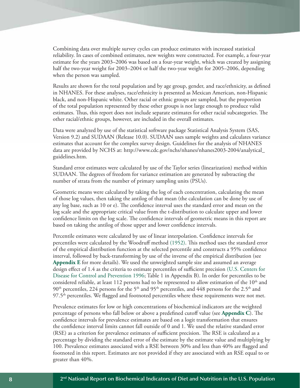Combining data over multiple survey cycles can produce estimates with increased statistical reliability. In cases of combined estimates, new weights were constructed. For example, a four-year estimate for the years 2003–2006 was based on a four-year weight, which was created by assigning half the two-year weight for 2003–2004 or half the two-year weight for 2005–2006, depending when the person was sampled.

Results are shown for the total population and by age group, gender, and race/ethnicity, as defined in NHANES. For these analyses, race/ethnicity is presented as Mexican American, non-Hispanic black, and non-Hispanic white. Other racial or ethnic groups are sampled, but the proportion of the total population represented by these other groups is not large enough to produce valid estimates. Thus, this report does not include separate estimates for other racial subcategories. The other racial/ethnic groups, however, are included in the overall estimates.

Data were analyzed by use of the statistical software package Statistical Analysis System (SAS, Version 9.2) and SUDAAN (Release 10.0). SUDAAN uses sample weights and calculates variance estimates that account for the complex survey design. Guidelines for the analysis of NHANES data are provided by NCHS at: http://www.cdc.gov/nchs/nhanes/nhanes2003-2004/analytical [guidelines.htm](http://www.cdc.gov/nchs/nhanes/nhanes2003-2004/analytical_guidelines.htm).

Standard error estimates were calculated by use of the Taylor series (linearization) method within SUDAAN. The degrees of freedom for variance estimation are generated by subtracting the number of strata from the number of primary sampling units (PSUs).

Geometric means were calculated by taking the log of each concentration, calculating the mean of those log values, then taking the antilog of that mean (the calculation can be done by use of any log base, such as 10 or e). The confidence interval uses the standard error and mean on the log scale and the appropriate critical value from the t-distribution to calculate upper and lower confidence limits on the log scale. The confidence intervals of geometric means in this report are based on taking the antilog of those upper and lower confidence intervals.

Percentile estimates were calculated by use of linear interpolation. Confidence intervals for percentiles were calculated by the Woodruff method (1952). This method uses the standard error of the empirical distribution function at the selected percentile and constructs a 95% confidence interval, followed by back-transforming by use of the inverse of the empirical distribution (see **Appendix E** for more details). We used the unweighted sample size and assumed an average design effect of 1.4 as the criteria to estimate percentiles of sufficient precision (U.S. Centers for Disease for Control and Prevention 1996; Table 1 in Appendix B). In order for percentiles to be considered reliable, at least 112 persons had to be represented to allow estimation of the  $10<sup>th</sup>$  and  $90<sup>th</sup>$  percentiles, 224 persons for the 5<sup>th</sup> and 95<sup>th</sup> percentiles, and 448 persons for the 2.5<sup>th</sup> and  $97.5<sup>th</sup>$  percentiles. We flagged and footnoted percentiles where these requirements were not met.

Prevalence estimates for low or high concentrations of biochemical indicators are the weighted percentage of persons who fall below or above a predefined cutoff value (see **Appendix C**). The confidence intervals for prevalence estimates are based on a logit transformation that ensures the confidence interval limits cannot fall outside of 0 and 1. We used the relative standard error (RSE) as a criterion for prevalence estimates of sufficient precision. The RSE is calculated as a percentage by dividing the standard error of the estimate by the estimate value and multiplying by 100. Prevalence estimates associated with a RSE between 30% and less than 40% are flagged and footnoted in this report. Estimates are not provided if they are associated with an RSE equal to or greater than 40%.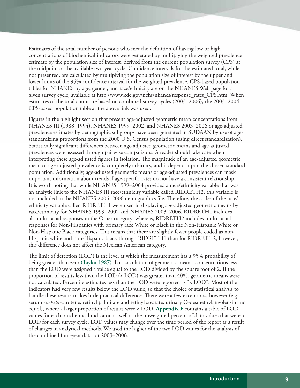Estimates of the total number of persons who met the definition of having low or high concentrations of biochemical indicators were generated by multiplying the weighted prevalence estimate by the population size of interest, derived from the current population survey (CPS) at the midpoint of the available two-year cycle. Confidence intervals for the estimated total, while not presented, are calculated by multiplying the population size of interest by the upper and lower limits of the 95% confidence interval for the weighted prevalence. CPS-based population tables for NHANES by age, gender, and race/ethnicity are on the NHANES Web page for a given survey cycle, available at [http://www.cdc.gov/nchs/nhanes/response\\_rates\\_CPS.htm](http://www.cdc.gov/nchs/nhanes/response_rates_CPS.htm). When estimates of the total count are based on combined survey cycles (2003–2006), the 2003–2004 CPS-based population table at the above link was used.

Figures in the highlight section that present age-adjusted geometric mean concentrations from NHANES III (1988–1994), NHANES 1999–2002, and NHANES 2003–2006 or age-adjusted prevalence estimates by demographic subgroups have been generated in SUDAAN by use of agestandardizing proportions from the 2000 U.S. Census population (using direct standardization). Statistically significant differences between age-adjusted geometric means and age-adjusted prevalences were assessed through pairwise comparisons. A reader should take care when interpreting these age-adjusted figures in isolation. The magnitude of an age-adjusted geometric mean or age-adjusted prevalence is completely arbitrary, and it depends upon the chosen standard population. Additionally, age-adjusted geometric means or age-adjusted prevalences can mask important information about trends if age-specific rates do not have a consistent relationship. It is worth noting that while NHANES 1999–2004 provided a race/ethnicity variable that was an analytic link to the NHANES III race/ethnicity variable called RIDRETH2, this variable is not included in the NHANES 2005–2006 demographics file. Therefore, the codes of the race/ ethnicity variable called RIDRETH1 were used in displaying age-adjusted geometric means by race/ethnicity for NHANES 1999–2002 and NHANES 2003–2006. RIDRETH1 includes all multi-racial responses in the Other category; whereas, RIDRETH2 includes multi-racial responses for Non-Hispanics with primary race White or Black in the Non-Hispanic White or Non-Hispanic Black categories. This means that there are slightly fewer people coded as non-Hispanic white and non-Hispanic black through RIDRETH1 than for RIDRETH2; however, this difference does not affect the Mexican American category.

The limit of detection (LOD) is the level at which the measurement has a 95% probability of being greater than zero (Taylor 1987). For calculation of geometric means, concentrations less than the LOD were assigned a value equal to the LOD divided by the square root of 2. If the proportion of results less than the LOD (< LOD) was greater than 40%, geometric means were not calculated. Percentile estimates less than the LOD were reported as "< LOD". Most of the indicators had very few results below the LOD value, so that the choice of statistical analysis to handle these results makes little practical difference. There were a few exceptions, however (e.g., serum *cis*-*beta*-carotene, retinyl palmitate and retinyl stearate; urinary O-desmethylangolensin and equol), where a larger proportion of results were < LOD. **Appendix F** contains a table of LOD values for each biochemical indicator, as well as the unweighted percent of data values that were < LOD for each survey cycle. LOD values may change over the time period of the report as a result of changes in analytical methods. We used the higher of the two LOD values for the analysis of the combined four-year data for 2003–2006.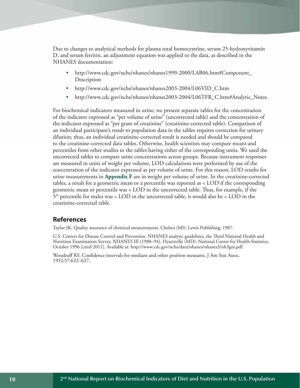Due to changes to analytical methods for plasma total homocysteine, serum 25-hydroxyvitamin D, and serum ferritin, an adjustment equation was applied to the data, as described in the NHANES documentation:

- • [http://www.cdc.gov/nchs/nhanes/nhanes1999-2000/LAB06.htm#Component\\_](http://www.cdc.gov/nchs/nhanes/nhanes1999-2000/LAB06.htm#Component_Description) [Description](http://www.cdc.gov/nchs/nhanes/nhanes1999-2000/LAB06.htm#Component_Description)
- [http://www.cdc.gov/nchs/nhanes/nhanes2003-2004/L06VID\\_C.htm](http://www.cdc.gov/nchs/nhanes/nhanes2003-2004/L06VID_C.htm)
- [http://www.cdc.gov/nchs/nhanes/nhanes2003-2004/L06TFR\\_C.htm#Analytic\\_Notes](http://www.cdc.gov/nchs/nhanes/nhanes2003-2004/L06TFR_C.htm#Analytic_Notes).

For biochemical indicators measured in urine, we present separate tables for the concentration of the indicator expressed as "per volume of urine" (uncorrected table) and the concentration of the indicator expressed as "per gram of creatinine" (creatinine-corrected table). Comparison of an individual participant's result to population data in the tables requires correction for urinary dilution; thus, an individual creatinine-corrected result is needed and should be compared to the creatinine-corrected data tables. Otherwise, health scientists may compare means and percentiles from other studies to the tables having either of the corresponding units. We used the uncorrected tables to compare urine concentrations across groups. Because instrument responses are measured in units of weight per volume, LOD calculations were performed by use of the concentration of the indicator expressed as per volume of urine. For this reason, LOD results for urine measurements in **Appendix F** are in weight per volume of urine. In the creatinine-corrected tables, a result for a geometric mean or a percentile was reported as < LOD if the corresponding geometric mean or percentile was < LOD in the uncorrected table. Thus, for example, if the 5th percentile for males was < LOD in the uncorrected table, it would also be < LOD in the creatinine-corrected table.

#### **References**

Taylor JK. Quality assurance of chemical measurements. Chelsea (MI): Lewis Publishing; 1987.

U.S. Centers for Disease Control and Prevention. NHANES analytic guidelines, the Third National Health and Nutrition Examination Survey, NHANES III (1988–94). Hyattsville (MD): National Center for Health Statistics; October 1996 [cited 2011]. Available at: [http://www.cdc.gov/nchs/data/nhanes/nhanes3/nh3gui.pdf.](http://www.cdc.gov/nchs/data/nhanes/nhanes3/nh3gui.pdf)

Woodruff RS. Confidence intervals for medians and other position measures. J Am Stat Assoc. 1952;57:622–627.